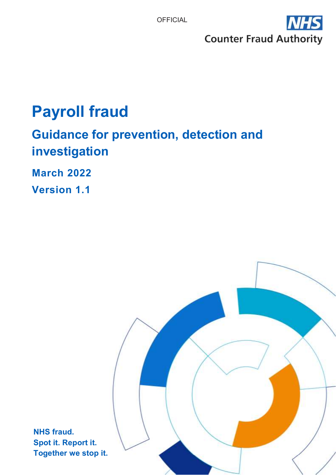

# **Payroll fraud**

## **Guidance for prevention, detection and investigation**

**March 2022** 

**Version 1.1** 

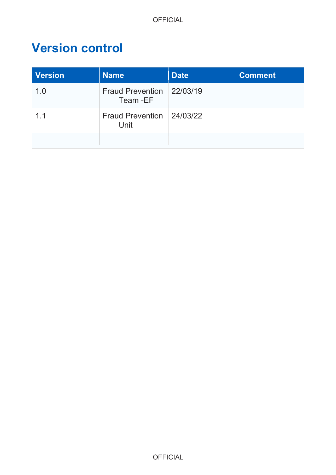## **Version control**

| Version        | <b>Name</b>                            | <b>Date</b> | <b>Comment</b> |
|----------------|----------------------------------------|-------------|----------------|
| 1.0            | Fraud Prevention 22/03/19<br>Team - EF |             |                |
| 1 <sub>1</sub> | Fraud Prevention 24/03/22<br>Unit      |             |                |
|                |                                        |             |                |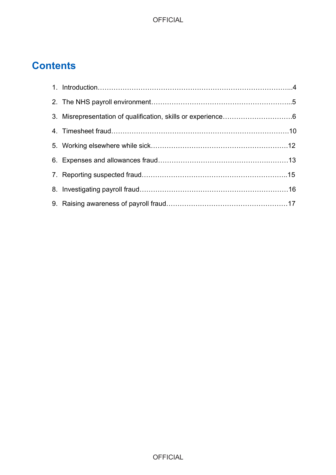## **Contents**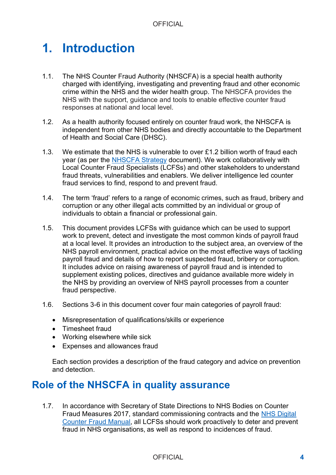## **1. Introduction**

- 1.1. The NHS Counter Fraud Authority (NHSCFA) is a special health authority charged with identifying, investigating and preventing fraud and other economic crime within the NHS and the wider health group. The NHSCFA provides the NHS with the support, guidance and tools to enable effective counter fraud responses at national and local level.
- 1.2. As a health authority focused entirely on counter fraud work, the NHSCFA is independent from other NHS bodies and directly accountable to the Department of Health and Social Care (DHSC).
- 1.3. We estimate that the NHS is vulnerable to over £1.2 billion worth of fraud each year (as per the [NHSCFA Strategy](https://cfa.nhs.uk/resources/downloads/documents/corporate-publications/NHSCFA_Strategy_2020-23.pdf) document). We work collaboratively with Local Counter Fraud Specialists (LCFSs) and other stakeholders to understand fraud threats, vulnerabilities and enablers. We deliver intelligence led counter fraud services to find, respond to and prevent fraud.
- 1.4. The term 'fraud' refers to a range of economic crimes, such as fraud, bribery and corruption or any other illegal acts committed by an individual or group of individuals to obtain a financial or professional gain.
- 1.5. This document provides LCFSs with guidance which can be used to support work to prevent, detect and investigate the most common kinds of payroll fraud at a local level. It provides an introduction to the subject area, an overview of the NHS payroll environment, practical advice on the most effective ways of tackling payroll fraud and details of how to report suspected fraud, bribery or corruption. It includes advice on raising awareness of payroll fraud and is intended to supplement existing polices, directives and guidance available more widely in the NHS by providing an overview of NHS payroll processes from a counter fraud perspective.
- 1.6. Sections 3-6 in this document cover four main categories of payroll fraud:
	- Misrepresentation of qualifications/skills or experience
	- Timesheet fraud
	- Working elsewhere while sick
	- Expenses and allowances fraud

Each section provides a description of the fraud category and advice on prevention and detection.

### **Role of the NHSCFA in quality assurance**

Fraud Measures 2017, standard commissioning contracts and the **NHS Digital** 1.7. In accordance with Secretary of State Directions to NHS Bodies on Counter [Counter Fraud Manual,](https://fraudmanual.cfa.nhs.uk/) all LCFSs should work proactively to deter and prevent fraud in NHS organisations, as well as respond to incidences of fraud.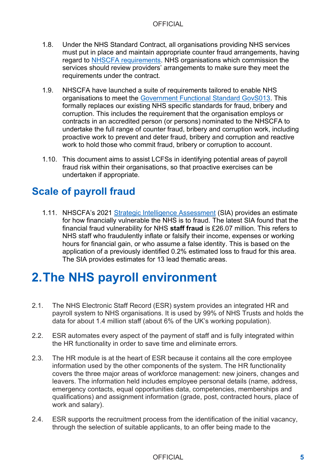- 1.8. Under the NHS Standard Contract, all organisations providing NHS services must put in place and maintain appropriate counter fraud arrangements, having regard to [NHSCFA requirements.](https://cfa.nhs.uk/government-functional-standard/NHS-requirements) NHS organisations which commission the services should review providers' arrangements to make sure they meet the requirements under the contract.
- organisations to meet the [Government Functional Standard GovS013.](https://www.gov.uk/government/publications/government-functional-standard-govs-013-counter-fraud) This corruption. This includes the requirement that the organisation employs or proactive work to prevent and deter fraud, bribery and corruption and reactive 1.9. NHSCFA have launched a suite of requirements tailored to enable NHS formally replaces our existing NHS specific standards for fraud, bribery and contracts in an accredited person (or persons) nominated to the NHSCFA to undertake the full range of counter fraud, bribery and corruption work, including work to hold those who commit fraud, bribery or corruption to account.
- 1.10. This document aims to assist LCFSs in identifying potential areas of payroll fraud risk within their organisations, so that proactive exercises can be undertaken if appropriate.

## **Scale of payroll fraud**

1.11. NHSCFA's 2021 [Strategic Intelligence Assessment](https://cfa.nhs.uk/about-nhscfa/corporate-publications/strategic-intelligence-assessment) (SIA) provides an estimate for how financially vulnerable the NHS is to fraud. The latest SIA found that the financial fraud vulnerability for NHS **staff fraud** is £26.07 million. This refers to NHS staff who fraudulently inflate or falsify their income, expenses or working hours for financial gain, or who assume a false identity. This is based on the application of a previously identified 0.2% estimated loss to fraud for this area. The SIA provides estimates for 13 lead thematic areas.

## **2.The NHS payroll environment**

- data for about 1.4 million staff (about 6% of the UK's working population). 2.1. The NHS Electronic Staff Record (ESR) system provides an integrated HR and payroll system to NHS organisations. It is used by 99% of NHS Trusts and holds the
- 2.2. ESR automates every aspect of the payment of staff and is fully integrated within the HR functionality in order to save time and eliminate errors.
- 2.3. The HR module is at the heart of ESR because it contains all the core employee information used by the other components of the system. The HR functionality covers the three major areas of workforce management: new joiners, changes and leavers. The information held includes employee personal details (name, address, emergency contacts, equal opportunities data, competencies, memberships and qualifications) and assignment information (grade, post, contracted hours, place of work and salary).
- 2.4. ESR supports the recruitment process from the identification of the initial vacancy, through the selection of suitable applicants, to an offer being made to the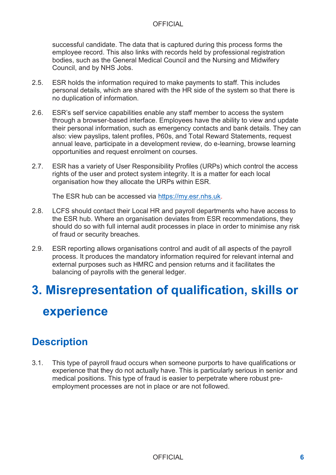successful candidate. The data that is captured during this process forms the employee record. This also links with records held by professional registration bodies, such as the General Medical Council and the Nursing and Midwifery Council, and by NHS Jobs.

- 2.5. ESR holds the information required to make payments to staff. This includes personal details, which are shared with the HR side of the system so that there is no duplication of information.
- also: view payslips, talent profiles, P60s, and Total Reward Statements, request 2.6. ESR's self service capabilities enable any staff member to access the system through a browser-based interface. Employees have the ability to view and update their personal information, such as emergency contacts and bank details. They can annual leave, participate in a development review, do e-learning, browse learning opportunities and request enrolment on courses.
- 2.7. ESR has a variety of User Responsibility Profiles (URPs) which control the access rights of the user and protect system integrity. It is a matter for each local organisation how they allocate the URPs within ESR.

The ESR hub can be accessed via [https://my.esr.nhs.uk.](https://my.esr.nhs.uk/)

- 2.8. LCFS should contact their Local HR and payroll departments who have access to the ESR hub. Where an organisation deviates from ESR recommendations, they should do so with full internal audit processes in place in order to minimise any risk of fraud or security breaches.
- 2.9. ESR reporting allows organisations control and audit of all aspects of the payroll process. It produces the mandatory information required for relevant internal and external purposes such as HMRC and pension returns and it facilitates the balancing of payrolls with the general ledger.

# **3. Misrepresentation of qualification, skills or experience**

## **Description**

3.1. This type of payroll fraud occurs when someone purports to have qualifications or experience that they do not actually have. This is particularly serious in senior and medical positions. This type of fraud is easier to perpetrate where robust preemployment processes are not in place or are not followed.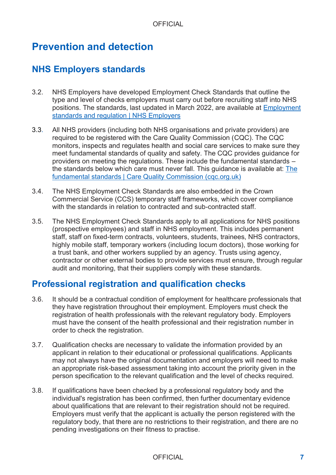## **Prevention and detection**

### **NHS Employers standards**

- 3.2. NHS Employers have developed Employment Check Standards that outline the type and level of checks employers must carry out before recruiting staff into NHS positions. The standards, last updated in March 2022, are available at [Employment](https://www.nhsemployers.org/topics-networks/employment-standards-and-regulation)  [standards and regulation | NHS Employers](https://www.nhsemployers.org/topics-networks/employment-standards-and-regulation)
- 3.3. All NHS providers (including both NHS organisations and private providers) are required to be registered with the Care Quality Commission (CQC). The CQC monitors, inspects and regulates health and social care services to make sure they meet fundamental standards of quality and safety. The CQC provides guidance for providers on meeting the regulations. These include the fundamental standards – the standards below which care must never fall. This guidance is available at: [The](https://www.cqc.org.uk/what-we-do/how-we-do-our-job/fundamental-standards)  [fundamental standards | Care Quality Commission \(cqc.org.uk\)](https://www.cqc.org.uk/what-we-do/how-we-do-our-job/fundamental-standards)
- 3.4. The NHS Employment Check Standards are also embedded in the Crown Commercial Service (CCS) temporary staff frameworks, which cover compliance with the standards in relation to contracted and sub-contracted staff.
- contractor or other external bodies to provide services must ensure, through regular 3.5. The NHS Employment Check Standards apply to all applications for NHS positions (prospective employees) and staff in NHS employment. This includes permanent staff, staff on fixed-term contracts, volunteers, students, trainees, NHS contractors, highly mobile staff, temporary workers (including locum doctors), those working for a trust bank, and other workers supplied by an agency. Trusts using agency, audit and monitoring, that their suppliers comply with these standards.

### **Professional registration and qualification checks**

- 3.6. It should be a contractual condition of employment for healthcare professionals that they have registration throughout their employment. Employers must check the registration of health professionals with the relevant regulatory body. Employers must have the consent of the health professional and their registration number in order to check the registration.
- 3.7. Qualification checks are necessary to validate the information provided by an applicant in relation to their educational or professional qualifications. Applicants may not always have the original documentation and employers will need to make an appropriate risk-based assessment taking into account the priority given in the person specification to the relevant qualification and the level of checks required.
- 3.8. If qualifications have been checked by a professional regulatory body and the individual's registration has been confirmed, then further documentary evidence about qualifications that are relevant to their registration should not be required. Employers must verify that the applicant is actually the person registered with the regulatory body, that there are no restrictions to their registration, and there are no pending investigations on their fitness to practise.

### OFFICIAL **7**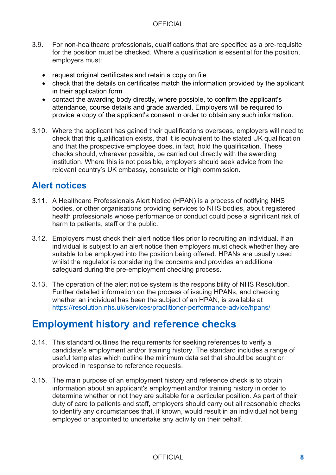- for the position must be checked. Where a qualification is essential for the position, 3.9. For non-healthcare professionals, qualifications that are specified as a pre-requisite employers must:
	- request original certificates and retain a copy on file
	- • check that the details on certificates match the information provided by the applicant in their application form
	- contact the awarding body directly, where possible, to confirm the applicant's attendance, course details and grade awarded. Employers will be required to provide a copy of the applicant's consent in order to obtain any such information.
- 3.10. Where the applicant has gained their qualifications overseas, employers will need to check that this qualification exists, that it is equivalent to the stated UK qualification and that the prospective employee does, in fact, hold the qualification. These checks should, wherever possible, be carried out directly with the awarding institution. Where this is not possible, employers should seek advice from the relevant country's UK embassy, consulate or high commission.

### **Alert notices**

- 3.11. A Healthcare Professionals Alert Notice (HPAN) is a process of notifying NHS bodies, or other organisations providing services to NHS bodies, about registered health professionals whose performance or conduct could pose a significant risk of harm to patients, staff or the public.
- individual is subject to an alert notice then employers must check whether they are 3.12. Employers must check their alert notice files prior to recruiting an individual. If an suitable to be employed into the position being offered. HPANs are usually used whilst the regulator is considering the concerns and provides an additional safeguard during the pre-employment checking process.
- 3.13. The operation of the alert notice system is the responsibility of NHS Resolution. Further detailed information on the process of issuing HPANs, and checking whether an individual has been the subject of an HPAN, is available at <https://resolution.nhs.uk/services/practitioner-performance-advice/hpans/>

## **Employment history and reference checks**

- provided in response to reference requests. 3.14. This standard outlines the requirements for seeking references to verify a candidate's employment and/or training history. The standard includes a range of useful templates which outline the minimum data set that should be sought or
- 3.15. The main purpose of an employment history and reference check is to obtain information about an applicant's employment and/or training history in order to determine whether or not they are suitable for a particular position. As part of their duty of care to patients and staff, employers should carry out all reasonable checks to identify any circumstances that, if known, would result in an individual not being employed or appointed to undertake any activity on their behalf.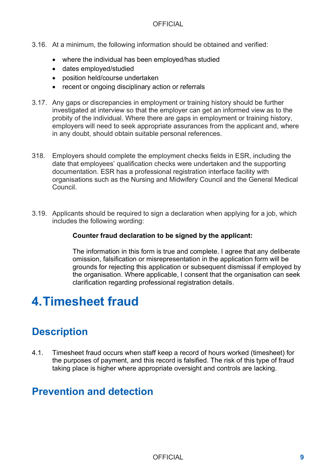- 3.16. At a minimum, the following information should be obtained and verified:
	- where the individual has been employed/has studied
	- dates employed/studied
	- position held/course undertaken
	- recent or ongoing disciplinary action or referrals
- 3.17. Any gaps or discrepancies in employment or training history should be further investigated at interview so that the employer can get an informed view as to the probity of the individual. Where there are gaps in employment or training history, employers will need to seek appropriate assurances from the applicant and, where in any doubt, should obtain suitable personal references.
- documentation. ESR has a professional registration interface facility with 318. Employers should complete the employment checks fields in ESR, including the date that employees' qualification checks were undertaken and the supporting organisations such as the Nursing and Midwifery Council and the General Medical Council.
- 3.19. Applicants should be required to sign a declaration when applying for a job, which includes the following wording:

#### **Counter fraud declaration to be signed by the applicant:**

 the organisation. Where applicable, I consent that the organisation can seek The information in this form is true and complete. I agree that any deliberate omission, falsification or misrepresentation in the application form will be grounds for rejecting this application or subsequent dismissal if employed by clarification regarding professional registration details.

## **4.Timesheet fraud**

## **Description**

4.1. Timesheet fraud occurs when staff keep a record of hours worked (timesheet) for the purposes of payment, and this record is falsified. The risk of this type of fraud taking place is higher where appropriate oversight and controls are lacking.

## **Prevention and detection**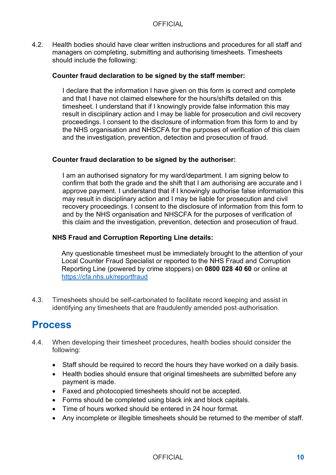4.2. Health bodies should have clear written instructions and procedures for all staff and managers on completing, submitting and authorising timesheets. Timesheets should include the following:

#### **Counter fraud declaration to be signed by the staff member:**

I declare that the information I have given on this form is correct and complete and that I have not claimed elsewhere for the hours/shifts detailed on this timesheet. I understand that if I knowingly provide false information this may result in disciplinary action and I may be liable for prosecution and civil recovery proceedings. I consent to the disclosure of information from this form to and by the NHS organisation and NHSCFA for the purposes of verification of this claim and the investigation, prevention, detection and prosecution of fraud.

#### **Counter fraud declaration to be signed by the authoriser:**

 I am an authorised signatory for my ward/department. I am signing below to confirm that both the grade and the shift that I am authorising are accurate and I approve payment. I understand that if I knowingly authorise false information this may result in disciplinary action and I may be liable for prosecution and civil recovery proceedings. I consent to the disclosure of information from this form to and by the NHS organisation and NHSCFA for the purposes of verification of this claim and the investigation, prevention, detection and prosecution of fraud.

### **NHS Fraud and Corruption Reporting Line details:**

 Local Counter Fraud Specialist or reported to the NHS Fraud and Corruption  Reporting Line (powered by crime stoppers) on **0800 028 40 60** or online at Any questionable timesheet must be immediately brought to the attention of your <https://cfa.nhs.uk/reportfraud>

4.3. Timesheets should be self-carbonated to facilitate record keeping and assist in identifying any timesheets that are fraudulently amended post-authorisation.

### **Process**

- 4.4. When developing their timesheet procedures, health bodies should consider the following:
	- Staff should be required to record the hours they have worked on a daily basis.
	- Health bodies should ensure that original timesheets are submitted before any payment is made.
	- Faxed and photocopied timesheets should not be accepted.
	- Forms should be completed using black ink and block capitals.
	- Time of hours worked should be entered in 24 hour format.
	- Any incomplete or illegible timesheets should be returned to the member of staff.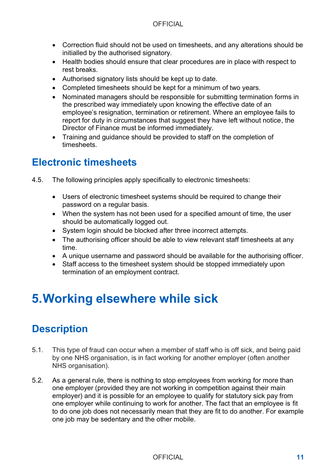- Correction fluid should not be used on timesheets, and any alterations should be initialled by the authorised signatory.
- Health bodies should ensure that clear procedures are in place with respect to rest breaks.
- Authorised signatory lists should be kept up to date.
- Completed timesheets should be kept for a minimum of two years.
- the prescribed way immediately upon knowing the effective date of an employee's resignation, termination or retirement. Where an employee fails to • Nominated managers should be responsible for submitting termination forms in report for duty in circumstances that suggest they have left without notice, the Director of Finance must be informed immediately.
- Training and guidance should be provided to staff on the completion of timesheets.

## **Electronic timesheets**

- 4.5. The following principles apply specifically to electronic timesheets:
	- Users of electronic timesheet systems should be required to change their password on a regular basis.
	- When the system has not been used for a specified amount of time, the user should be automatically logged out.
	- System login should be blocked after three incorrect attempts.
	- The authorising officer should be able to view relevant staff timesheets at any time.
	- A unique username and password should be available for the authorising officer.
	- Staff access to the timesheet system should be stopped immediately upon termination of an employment contract.

## **5.Working elsewhere while sick**

## **Description**

- 5.1. This type of fraud can occur when a member of staff who is off sick, and being paid by one NHS organisation, is in fact working for another employer (often another NHS organisation).
- 5.2. As a general rule, there is nothing to stop employees from working for more than one employer (provided they are not working in competition against their main employer) and it is possible for an employee to qualify for statutory sick pay from one employer while continuing to work for another. The fact that an employee is fit to do one job does not necessarily mean that they are fit to do another. For example one job may be sedentary and the other mobile.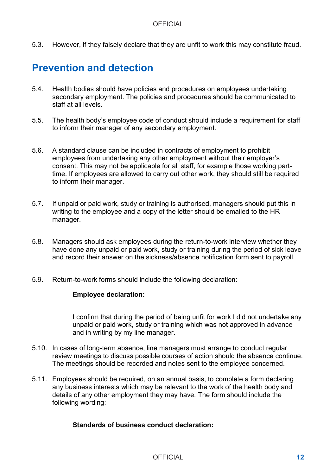5.3. However, if they falsely declare that they are unfit to work this may constitute fraud.

### **Prevention and detection**

- secondary employment. The policies and procedures should be communicated to 5.4. Health bodies should have policies and procedures on employees undertaking staff at all levels.
- 5.5. The health body's employee code of conduct should include a requirement for staff to inform their manager of any secondary employment.
- time. If employees are allowed to carry out other work, they should still be required 5.6. A standard clause can be included in contracts of employment to prohibit employees from undertaking any other employment without their employer's consent. This may not be applicable for all staff, for example those working partto inform their manager.
- 5.7. If unpaid or paid work, study or training is authorised, managers should put this in writing to the employee and a copy of the letter should be emailed to the HR manager.
- 5.8. Managers should ask employees during the return-to-work interview whether they have done any unpaid or paid work, study or training during the period of sick leave and record their answer on the sickness/absence notification form sent to payroll.
- 5.9. Return-to-work forms should include the following declaration:

#### **Employee declaration:**

I confirm that during the period of being unfit for work I did not undertake any unpaid or paid work, study or training which was not approved in advance and in writing by my line manager.

- 5.10. In cases of long-term absence, line managers must arrange to conduct regular review meetings to discuss possible courses of action should the absence continue. The meetings should be recorded and notes sent to the employee concerned.
- 5.11. Employees should be required, on an annual basis, to complete a form declaring any business interests which may be relevant to the work of the health body and details of any other employment they may have. The form should include the following wording:

### **Standards of business conduct declaration:**

#### OFFICIAL **12**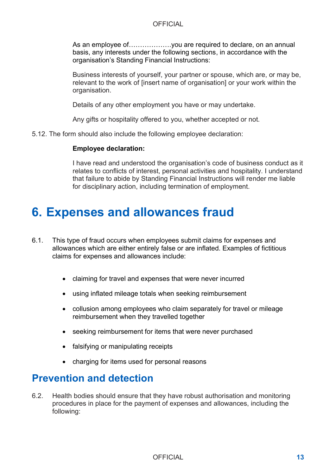basis, any interests under the following sections, in accordance with the As an employee of……………….you are required to declare, on an annual organisation's Standing Financial Instructions:

Business interests of yourself, your partner or spouse, which are, or may be, relevant to the work of [insert name of organisation] or your work within the organisation.

Details of any other employment you have or may undertake.

Any gifts or hospitality offered to you, whether accepted or not.

5.12. The form should also include the following employee declaration:

#### **Employee declaration:**

I have read and understood the organisation's code of business conduct as it relates to conflicts of interest, personal activities and hospitality. I understand that failure to abide by Standing Financial Instructions will render me liable for disciplinary action, including termination of employment.

## **6. Expenses and allowances fraud**

- 6.1. This type of fraud occurs when employees submit claims for expenses and allowances which are either entirely false or are inflated. Examples of fictitious claims for expenses and allowances include:
	- claiming for travel and expenses that were never incurred
	- using inflated mileage totals when seeking reimbursement
	- collusion among employees who claim separately for travel or mileage reimbursement when they travelled together
	- seeking reimbursement for items that were never purchased
	- falsifying or manipulating receipts
	- charging for items used for personal reasons

### **Prevention and detection**

 6.2. Health bodies should ensure that they have robust authorisation and monitoring procedures in place for the payment of expenses and allowances, including the following: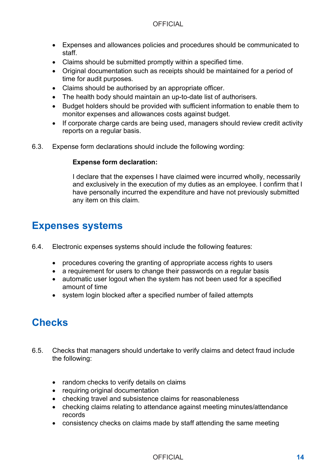- Expenses and allowances policies and procedures should be communicated to staff.
- Claims should be submitted promptly within a specified time.
- Original documentation such as receipts should be maintained for a period of time for audit purposes.
- Claims should be authorised by an appropriate officer.
- The health body should maintain an up-to-date list of authorisers.
- Budget holders should be provided with sufficient information to enable them to monitor expenses and allowances costs against budget.
- If corporate charge cards are being used, managers should review credit activity reports on a regular basis.
- 6.3. Expense form declarations should include the following wording:

### **Expense form declaration:**

I declare that the expenses I have claimed were incurred wholly, necessarily and exclusively in the execution of my duties as an employee. I confirm that I have personally incurred the expenditure and have not previously submitted any item on this claim.

### **Expenses systems**

- 6.4. Electronic expenses systems should include the following features:
	- procedures covering the granting of appropriate access rights to users
	- a requirement for users to change their passwords on a regular basis
	- automatic user logout when the system has not been used for a specified amount of time
	- system login blocked after a specified number of failed attempts

## **Checks**

- 6.5. Checks that managers should undertake to verify claims and detect fraud include the following:
	- random checks to verify details on claims
	- requiring original documentation
	- checking travel and subsistence claims for reasonableness
	- checking claims relating to attendance against meeting minutes/attendance records
	- consistency checks on claims made by staff attending the same meeting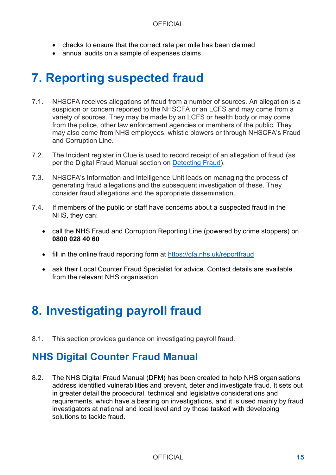- checks to ensure that the correct rate per mile has been claimed
- annual audits on a sample of expenses claims

## **7. Reporting suspected fraud**

- 7.1. NHSCFA receives allegations of fraud from a number of sources. An allegation is a variety of sources. They may be made by an LCFS or health body or may come suspicion or concern reported to the NHSCFA or an LCFS and may come from a from the police, other law enforcement agencies or members of the public. They may also come from NHS employees, whistle blowers or through NHSCFA's Fraud and Corruption Line.
- per the Digital Fraud Manual section on Detecting Fraud). 7.2. The Incident register in Clue is used to record receipt of an allegation of fraud (as
- 7.3. NHSCFA's Information and Intelligence Unit leads on managing the process of generating fraud allegations and the subsequent investigation of these. They consider fraud allegations and the appropriate dissemination.
- 7.4. If members of the public or staff have concerns about a suspected fraud in the NHS, they can:
	- call the NHS Fraud and Corruption Reporting Line (powered by crime stoppers) on **0800 028 40 60**
	- fill in the online fraud reporting form at https://cfa.nhs.uk/reportfraud
	- ask their Local Counter Fraud Specialist for advice. Contact details are available from the relevant NHS organisation.

## **8. Investigating payroll fraud**

8.1. This section provides guidance on investigating payroll fraud.

## **NHS Digital Counter Fraud Manual**

8.2. The NHS Digital Fraud Manual (DFM) has been created to help NHS organisations address identified vulnerabilities and prevent, deter and investigate fraud. It sets out in greater detail the procedural, technical and legislative considerations and requirements, which have a bearing on investigations, and it is used mainly by fraud investigators at national and local level and by those tasked with developing solutions to tackle fraud.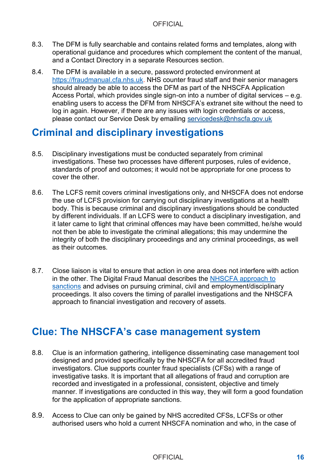- 8.3. The DFM is fully searchable and contains related forms and templates, along with operational guidance and procedures which complement the content of the manual, and a Contact Directory in a separate Resources section.
- 8.4. The DFM is available in a secure, password protected environment at [https://fraudmanual.cfa.nhs.uk.](https://fraudmanual.cfa.nhs.uk/) NHS counter fraud staff and their senior managers should already be able to access the DFM as part of the NHSCFA Application Access Portal, which provides single sign-on into a number of digital services – e.g. enabling users to access the DFM from NHSCFA's extranet site without the need to log in again. However, if there are any issues with login credentials or access, please contact our Service Desk by emailing [servicedesk@nhscfa.gov.uk](mailto:servicedesk@nhscfa.gov.uk)

### **Criminal and disciplinary investigations**

- 8.5. Disciplinary investigations must be conducted separately from criminal investigations. These two processes have different purposes, rules of evidence, standards of proof and outcomes; it would not be appropriate for one process to cover the other.
- by different individuals. If an LCFS were to conduct a disciplinary investigation, and 8.6. The LCFS remit covers criminal investigations only, and NHSCFA does not endorse the use of LCFS provision for carrying out disciplinary investigations at a health body. This is because criminal and disciplinary investigations should be conducted it later came to light that criminal offences may have been committed, he/she would not then be able to investigate the criminal allegations; this may undermine the integrity of both the disciplinary proceedings and any criminal proceedings, as well as their outcomes.
- 8.7. Close liaison is vital to ensure that action in one area does not interfere with action in the other. The Digital Fraud Manual describes the [NHSCFA approach to](https://fraudmanual.cfa.nhs.uk/counter-fraud-manual/pursuing-sanctions)  [sanctions](https://fraudmanual.cfa.nhs.uk/counter-fraud-manual/pursuing-sanctions) and advises on pursuing criminal, civil and emplovment/disciplinarv proceedings. It also covers the timing of parallel investigations and the NHSCFA approach to financial investigation and recovery of assets.

### **Clue: The NHSCFA's case management system**

- for the application of appropriate sanctions. 8.8. Clue is an information gathering, intelligence disseminating case management tool designed and provided specifically by the NHSCFA for all accredited fraud investigators. Clue supports counter fraud specialists (CFSs) with a range of investigative tasks. It is important that all allegations of fraud and corruption are recorded and investigated in a professional, consistent, objective and timely manner. If investigations are conducted in this way, they will form a good foundation
- 8.9. Access to Clue can only be gained by NHS accredited CFSs, LCFSs or other authorised users who hold a current NHSCFA nomination and who, in the case of